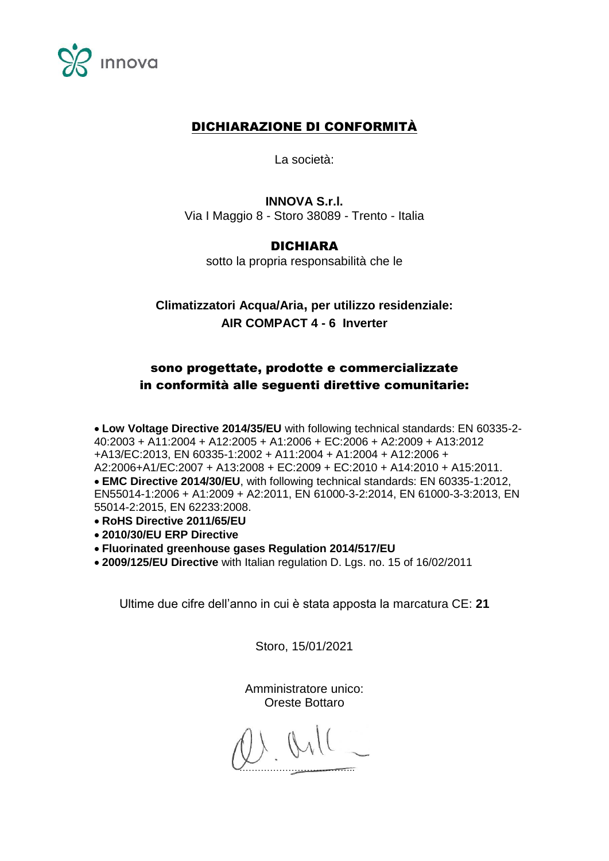

### DICHIARAZIONE DI CONFORMITÀ

La società:

**INNOVA S.r.l.** Via I Maggio 8 - Storo 38089 - Trento - Italia

#### DICHIARA

sotto la propria responsabilità che le

# **Climatizzatori Acqua/Aria, per utilizzo residenziale: AIR COMPACT 4 - 6 Inverter**

## sono progettate, prodotte e commercializzate in conformità alle seguenti direttive comunitarie:

**Low Voltage Directive 2014/35/EU** with following technical standards: EN 60335-2- 40:2003 + A11:2004 + A12:2005 + A1:2006 + EC:2006 + A2:2009 + A13:2012 +A13/EC:2013, EN 60335-1:2002 + A11:2004 + A1:2004 + A12:2006 + A2:2006+A1/EC:2007 + A13:2008 + EC:2009 + EC:2010 + A14:2010 + A15:2011. **EMC Directive 2014/30/EU**, with following technical standards: EN 60335-1:2012, EN55014-1:2006 + A1:2009 + A2:2011, EN 61000-3-2:2014, EN 61000-3-3:2013, EN 55014-2:2015, EN 62233:2008.

- **RoHS Directive 2011/65/EU**
- **2010/30/EU ERP Directive**
- **Fluorinated greenhouse gases Regulation 2014/517/EU**
- **2009/125/EU Directive** with Italian regulation D. Lgs. no. 15 of 16/02/2011

Ultime due cifre dell'anno in cui è stata apposta la marcatura CE: **21**

Storo, 15/01/2021

Amministratore unico: Oreste Bottaro

 $11.911$